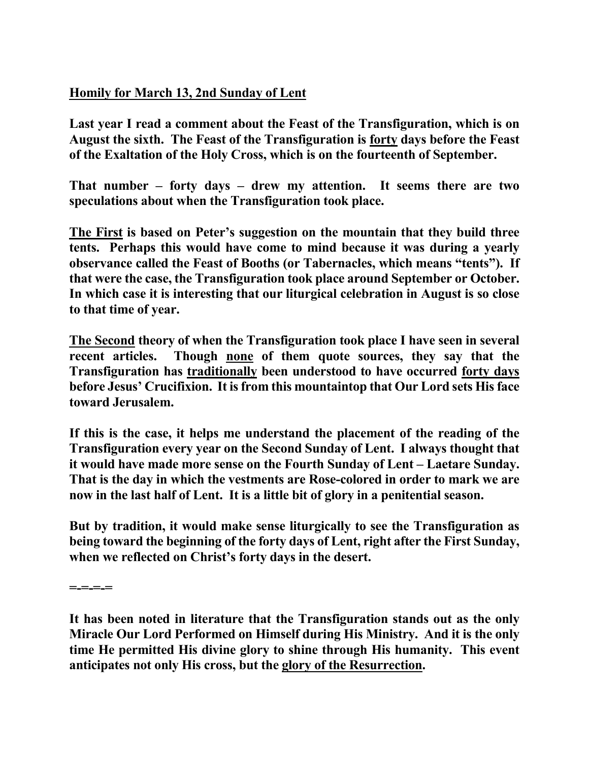## **Homily for March 13, 2nd Sunday of Lent**

**Last year I read a comment about the Feast of the Transfiguration, which is on August the sixth. The Feast of the Transfiguration is forty days before the Feast of the Exaltation of the Holy Cross, which is on the fourteenth of September.** 

**That number – forty days – drew my attention. It seems there are two speculations about when the Transfiguration took place.** 

**The First is based on Peter's suggestion on the mountain that they build three tents. Perhaps this would have come to mind because it was during a yearly observance called the Feast of Booths (or Tabernacles, which means "tents"). If that were the case, the Transfiguration took place around September or October. In which case it is interesting that our liturgical celebration in August is so close to that time of year.**

**The Second theory of when the Transfiguration took place I have seen in several recent articles. Though none of them quote sources, they say that the Transfiguration has traditionally been understood to have occurred forty days before Jesus' Crucifixion. It is from this mountaintop that Our Lord sets His face toward Jerusalem.** 

**If this is the case, it helps me understand the placement of the reading of the Transfiguration every year on the Second Sunday of Lent. I always thought that it would have made more sense on the Fourth Sunday of Lent – Laetare Sunday. That is the day in which the vestments are Rose-colored in order to mark we are now in the last half of Lent. It is a little bit of glory in a penitential season.** 

**But by tradition, it would make sense liturgically to see the Transfiguration as being toward the beginning of the forty days of Lent, right after the First Sunday, when we reflected on Christ's forty days in the desert.** 

**=-=-=-=** 

**It has been noted in literature that the Transfiguration stands out as the only Miracle Our Lord Performed on Himself during His Ministry. And it is the only time He permitted His divine glory to shine through His humanity. This event anticipates not only His cross, but the glory of the Resurrection.**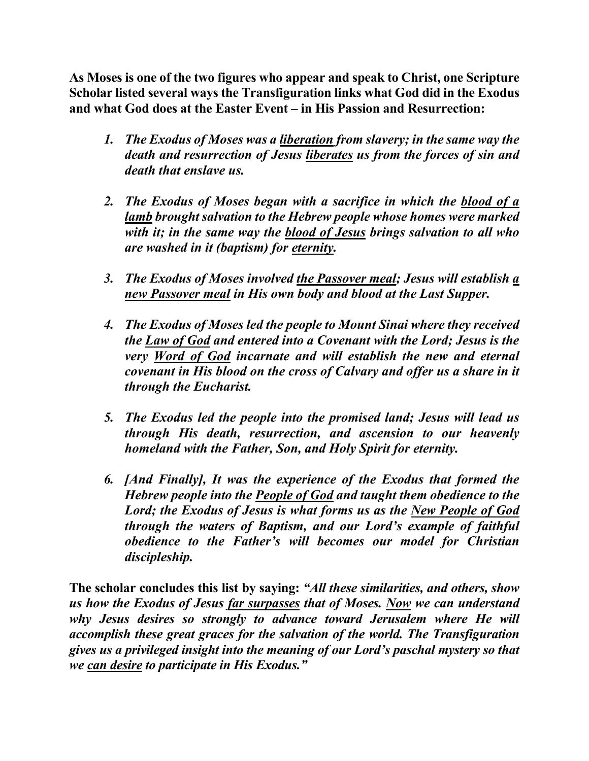**As Moses is one of the two figures who appear and speak to Christ, one Scripture Scholar listed several ways the Transfiguration links what God did in the Exodus and what God does at the Easter Event – in His Passion and Resurrection:** 

- *1. The Exodus of Moses was a liberation from slavery; in the same way the death and resurrection of Jesus liberates us from the forces of sin and death that enslave us.*
- *2. The Exodus of Moses began with a sacrifice in which the blood of a lamb brought salvation to the Hebrew people whose homes were marked with it; in the same way the blood of Jesus brings salvation to all who are washed in it (baptism) for eternity.*
- *3. The Exodus of Moses involved the Passover meal; Jesus will establish a new Passover meal in His own body and blood at the Last Supper.*
- *4. The Exodus of Moses led the people to Mount Sinai where they received the Law of God and entered into a Covenant with the Lord; Jesus is the very Word of God incarnate and will establish the new and eternal covenant in His blood on the cross of Calvary and offer us a share in it through the Eucharist.*
- *5. The Exodus led the people into the promised land; Jesus will lead us through His death, resurrection, and ascension to our heavenly homeland with the Father, Son, and Holy Spirit for eternity.*
- *6. [And Finally], It was the experience of the Exodus that formed the Hebrew people into the People of God and taught them obedience to the Lord; the Exodus of Jesus is what forms us as the New People of God through the waters of Baptism, and our Lord's example of faithful obedience to the Father's will becomes our model for Christian discipleship.*

**The scholar concludes this list by saying:** *"All these similarities, and others, show us how the Exodus of Jesus far surpasses that of Moses. Now we can understand why Jesus desires so strongly to advance toward Jerusalem where He will accomplish these great graces for the salvation of the world. The Transfiguration gives us a privileged insight into the meaning of our Lord's paschal mystery so that we can desire to participate in His Exodus."*